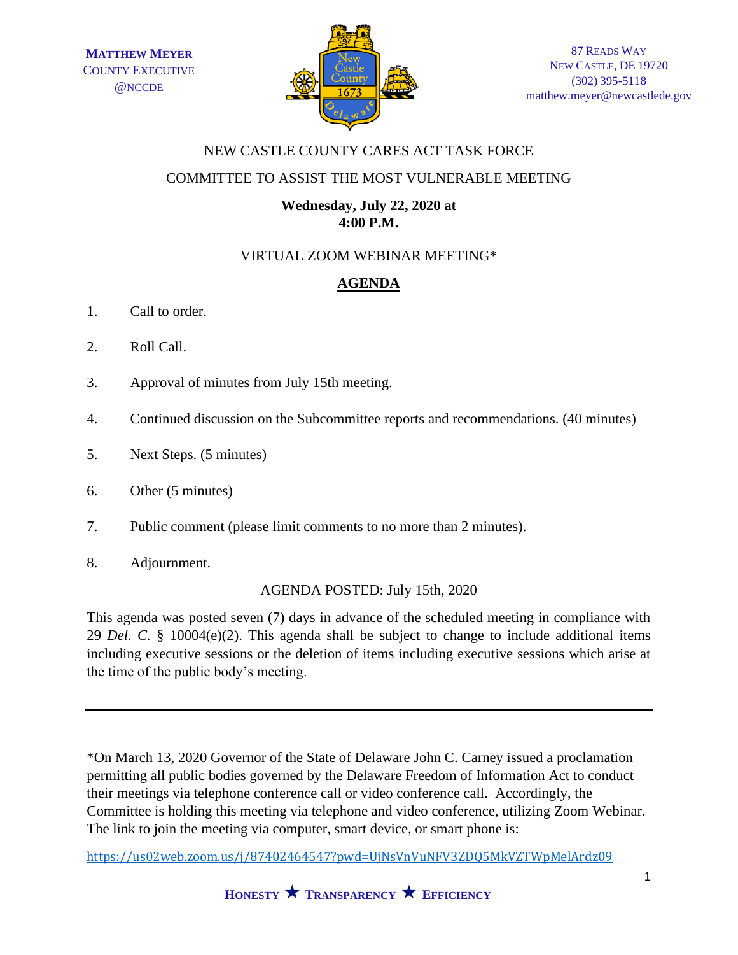

## NEW CASTLE COUNTY CARES ACT TASK FORCE

#### COMMITTEE TO ASSIST THE MOST VULNERABLE MEETING

## **Wednesday, July 22, 2020 at 4:00 P.M.**

## VIRTUAL ZOOM WEBINAR MEETING\*

# **AGENDA**

- 1. Call to order.
- 2. Roll Call.
- 3. Approval of minutes from July 15th meeting.
- 4. Continued discussion on the Subcommittee reports and recommendations. (40 minutes)
- 5. Next Steps. (5 minutes)
- 6. Other (5 minutes)
- 7. Public comment (please limit comments to no more than 2 minutes).
- 8. Adjournment.

#### AGENDA POSTED: July 15th, 2020

This agenda was posted seven (7) days in advance of the scheduled meeting in compliance with 29 *Del. C.* § 10004(e)(2). This agenda shall be subject to change to include additional items including executive sessions or the deletion of items including executive sessions which arise at the time of the public body's meeting.

\*On March 13, 2020 Governor of the State of Delaware John C. Carney issued a proclamation permitting all public bodies governed by the Delaware Freedom of Information Act to conduct their meetings via telephone conference call or video conference call. Accordingly, the Committee is holding this meeting via telephone and video conference, utilizing Zoom Webinar. The link to join the meeting via computer, smart device, or smart phone is:

<https://us02web.zoom.us/j/87402464547?pwd=UjNsVnVuNFV3ZDQ5MkVZTWpMelArdz09>